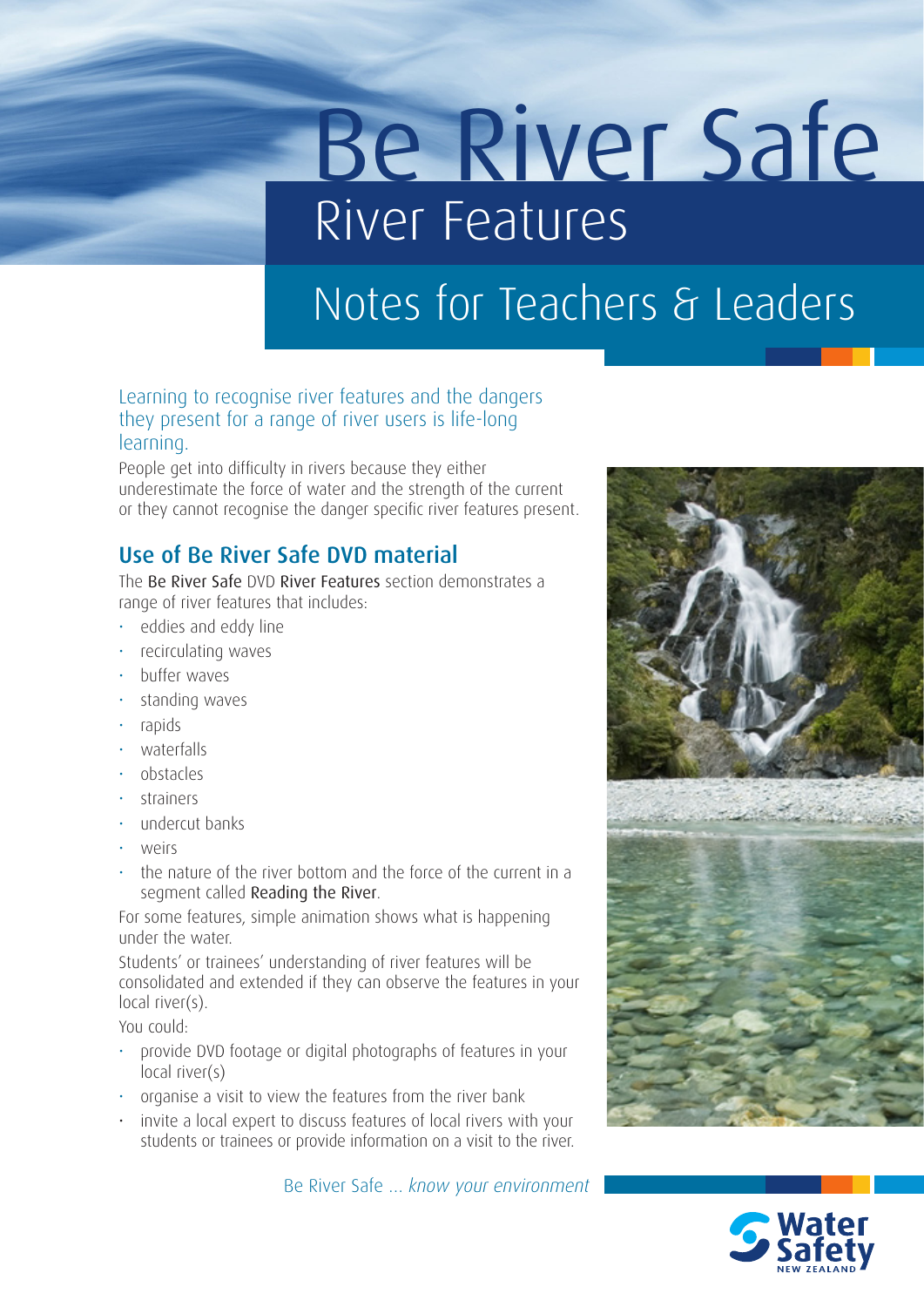# Be River Safe River Features

## Notes for Teachers & Leaders

## Learning to recognise river features and the dangers they present for a range of river users is life-long learning.

People get into difficulty in rivers because they either underestimate the force of water and the strength of the current or they cannot recognise the danger specific river features present.

## Use of Be River Safe DVD material

The Be River Safe DVD River Features section demonstrates a range of river features that includes:

- eddies and eddy line
- recirculating waves
- buffer waves
- standing waves
- rapids
- waterfalls
- obstacles
- strainers
- undercut banks
- weirs
- the nature of the river bottom and the force of the current in a segment called Reading the River.

For some features, simple animation shows what is happening under the water.

Students' or trainees' understanding of river features will be consolidated and extended if they can observe the features in your local river(s).

You could:

- provide DVD footage or digital photographs of features in your local river(s)
- organise a visit to view the features from the river bank
- invite a local expert to discuss features of local rivers with your students or trainees or provide information on a visit to the river.

Be River Safe … *know your environment*